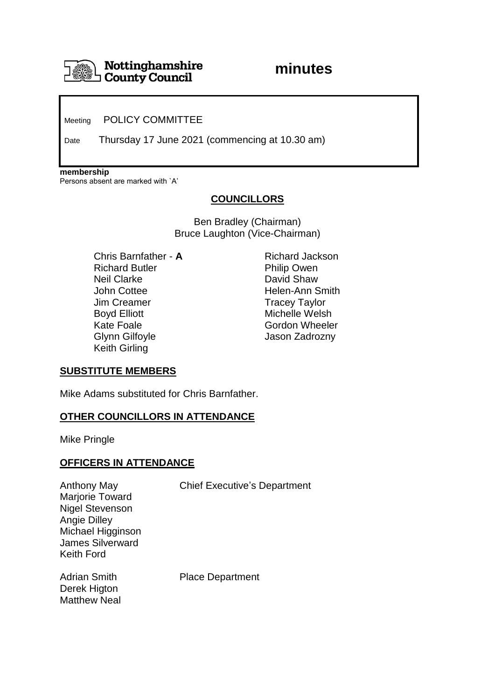

Meeting POLICY COMMITTEE

Date Thursday 17 June 2021 (commencing at 10.30 am)

**membership**

Persons absent are marked with `A'

# **COUNCILLORS**

Ben Bradley (Chairman) Bruce Laughton (Vice-Chairman)

Chris Barnfather - **A** Richard Jackson Richard Butler **Philip Owen** Neil Clarke David Shaw John Cottee **Helen-Ann Smith** Jim Creamer Tracey Taylor Boyd Elliott **Michelle Welsh** Kate Foale Gordon Wheeler Glynn Gilfoyle **Glynn** Gilfoyle Jason Zadrozny Keith Girling

### **SUBSTITUTE MEMBERS**

Mike Adams substituted for Chris Barnfather.

### **OTHER COUNCILLORS IN ATTENDANCE**

Mike Pringle

### **OFFICERS IN ATTENDANCE**

Marjorie Toward Nigel Stevenson Angie Dilley Michael Higginson James Silverward Keith Ford

Anthony May Chief Executive's Department

Derek Higton Matthew Neal

Adrian Smith Place Department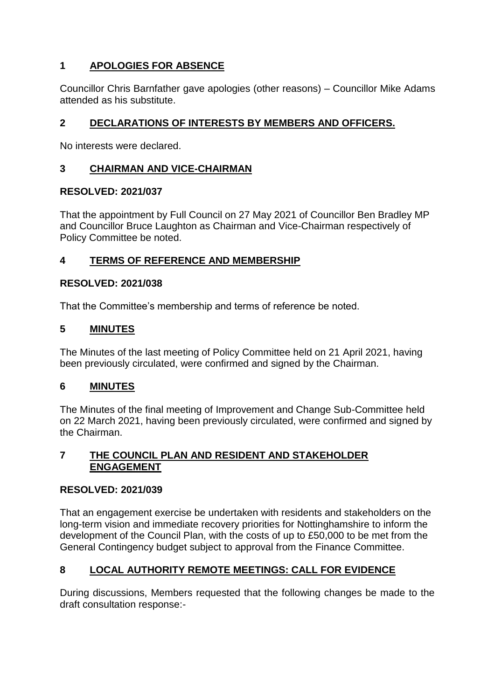# **1 APOLOGIES FOR ABSENCE**

Councillor Chris Barnfather gave apologies (other reasons) – Councillor Mike Adams attended as his substitute.

# **2 DECLARATIONS OF INTERESTS BY MEMBERS AND OFFICERS.**

No interests were declared.

## **3 CHAIRMAN AND VICE-CHAIRMAN**

## **RESOLVED: 2021/037**

That the appointment by Full Council on 27 May 2021 of Councillor Ben Bradley MP and Councillor Bruce Laughton as Chairman and Vice-Chairman respectively of Policy Committee be noted.

# **4 TERMS OF REFERENCE AND MEMBERSHIP**

## **RESOLVED: 2021/038**

That the Committee's membership and terms of reference be noted.

## **5 MINUTES**

The Minutes of the last meeting of Policy Committee held on 21 April 2021, having been previously circulated, were confirmed and signed by the Chairman.

## **6 MINUTES**

The Minutes of the final meeting of Improvement and Change Sub-Committee held on 22 March 2021, having been previously circulated, were confirmed and signed by the Chairman.

## **7 THE COUNCIL PLAN AND RESIDENT AND STAKEHOLDER ENGAGEMENT**

## **RESOLVED: 2021/039**

That an engagement exercise be undertaken with residents and stakeholders on the long-term vision and immediate recovery priorities for Nottinghamshire to inform the development of the Council Plan, with the costs of up to £50,000 to be met from the General Contingency budget subject to approval from the Finance Committee.

# **8 LOCAL AUTHORITY REMOTE MEETINGS: CALL FOR EVIDENCE**

During discussions, Members requested that the following changes be made to the draft consultation response:-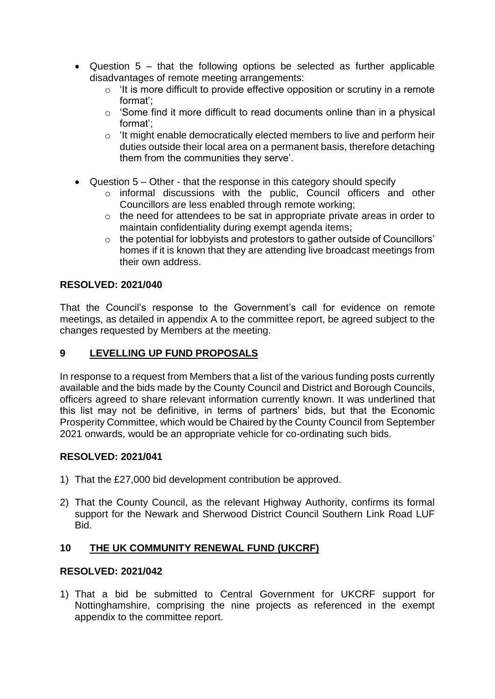- Question 5 that the following options be selected as further applicable disadvantages of remote meeting arrangements:
	- $\circ$  'It is more difficult to provide effective opposition or scrutiny in a remote format';
	- $\circ$  'Some find it more difficult to read documents online than in a physical format';
	- o 'It might enable democratically elected members to live and perform heir duties outside their local area on a permanent basis, therefore detaching them from the communities they serve'.
- Question 5 Other that the response in this category should specify
	- o informal discussions with the public, Council officers and other Councillors are less enabled through remote working;
	- o the need for attendees to be sat in appropriate private areas in order to maintain confidentiality during exempt agenda items;
	- o the potential for lobbyists and protestors to gather outside of Councillors' homes if it is known that they are attending live broadcast meetings from their own address.

# **RESOLVED: 2021/040**

That the Council's response to the Government's call for evidence on remote meetings, as detailed in appendix A to the committee report, be agreed subject to the changes requested by Members at the meeting.

## **9 LEVELLING UP FUND PROPOSALS**

In response to a request from Members that a list of the various funding posts currently available and the bids made by the County Council and District and Borough Councils, officers agreed to share relevant information currently known. It was underlined that this list may not be definitive, in terms of partners' bids, but that the Economic Prosperity Committee, which would be Chaired by the County Council from September 2021 onwards, would be an appropriate vehicle for co-ordinating such bids.

## **RESOLVED: 2021/041**

- 1) That the £27,000 bid development contribution be approved.
- 2) That the County Council, as the relevant Highway Authority, confirms its formal support for the Newark and Sherwood District Council Southern Link Road LUF Bid.

## **10 THE UK COMMUNITY RENEWAL FUND (UKCRF)**

### **RESOLVED: 2021/042**

1) That a bid be submitted to Central Government for UKCRF support for Nottinghamshire, comprising the nine projects as referenced in the exempt appendix to the committee report.